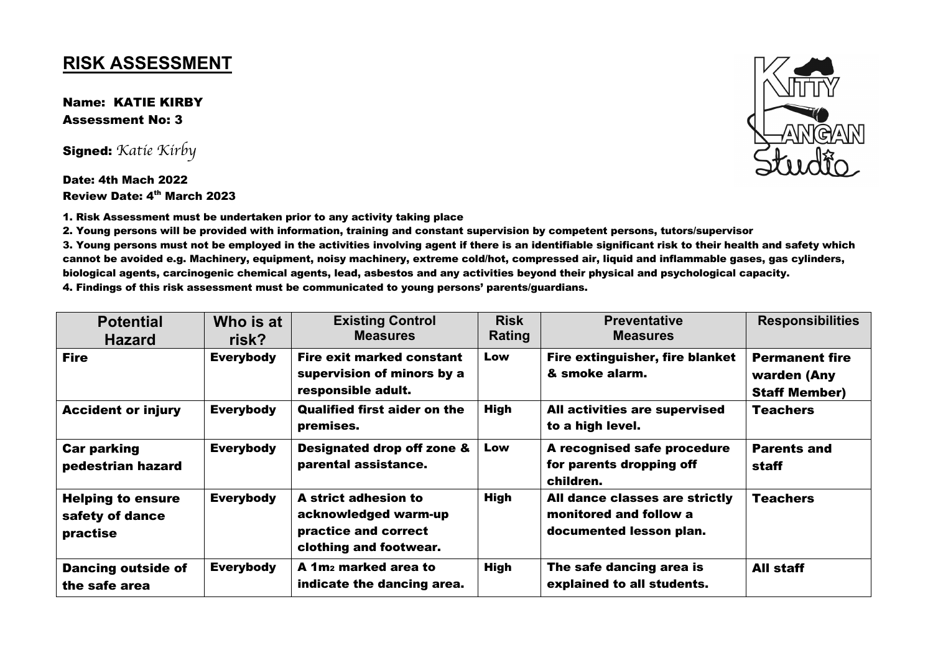## **RISK ASSESSMENT**

Name: KATIE KIRBY Assessment No: 3

Signed: *Katie Kirby*

Date: 4th Mach 2022 Review Date: 4th March 2023

1. Risk Assessment must be undertaken prior to any activity taking place

2. Young persons will be provided with information, training and constant supervision by competent persons, tutors/supervisor

3. Young persons must not be employed in the activities involving agent if there is an identifiable significant risk to their health and safety which cannot be avoided e.g. Machinery, equipment, noisy machinery, extreme cold/hot, compressed air, liquid and inflammable gases, gas cylinders, biological agents, carcinogenic chemical agents, lead, asbestos and any activities beyond their physical and psychological capacity.

| 4. Findings of this risk assessment must be communicated to young persons' parents/guardians. |  |
|-----------------------------------------------------------------------------------------------|--|
|                                                                                               |  |

| <b>Potential</b><br><b>Hazard</b>                       | Who is at<br>risk? | <b>Existing Control</b><br><b>Measures</b>                                                     | <b>Risk</b><br>Rating | <b>Preventative</b><br><b>Measures</b>                                              | <b>Responsibilities</b>                                      |
|---------------------------------------------------------|--------------------|------------------------------------------------------------------------------------------------|-----------------------|-------------------------------------------------------------------------------------|--------------------------------------------------------------|
| <b>Fire</b>                                             | <b>Everybody</b>   | <b>Fire exit marked constant</b><br>supervision of minors by a<br>responsible adult.           | Low                   | Fire extinguisher, fire blanket<br>& smoke alarm.                                   | <b>Permanent fire</b><br>warden (Any<br><b>Staff Member)</b> |
| <b>Accident or injury</b>                               | <b>Everybody</b>   | <b>Qualified first aider on the</b><br>premises.                                               | <b>High</b>           | All activities are supervised<br>to a high level.                                   | <b>Teachers</b>                                              |
| <b>Car parking</b><br>pedestrian hazard                 | <b>Everybody</b>   | <b>Designated drop off zone &amp;</b><br>parental assistance.                                  | Low                   | A recognised safe procedure<br>for parents dropping off<br>children.                | <b>Parents and</b><br>staff                                  |
| <b>Helping to ensure</b><br>safety of dance<br>practise | <b>Everybody</b>   | A strict adhesion to<br>acknowledged warm-up<br>practice and correct<br>clothing and footwear. | <b>High</b>           | All dance classes are strictly<br>monitored and follow a<br>documented lesson plan. | <b>Teachers</b>                                              |
| <b>Dancing outside of</b><br>the safe area              | <b>Everybody</b>   | A 1m <sub>2</sub> marked area to<br>indicate the dancing area.                                 | <b>High</b>           | The safe dancing area is<br>explained to all students.                              | <b>All staff</b>                                             |

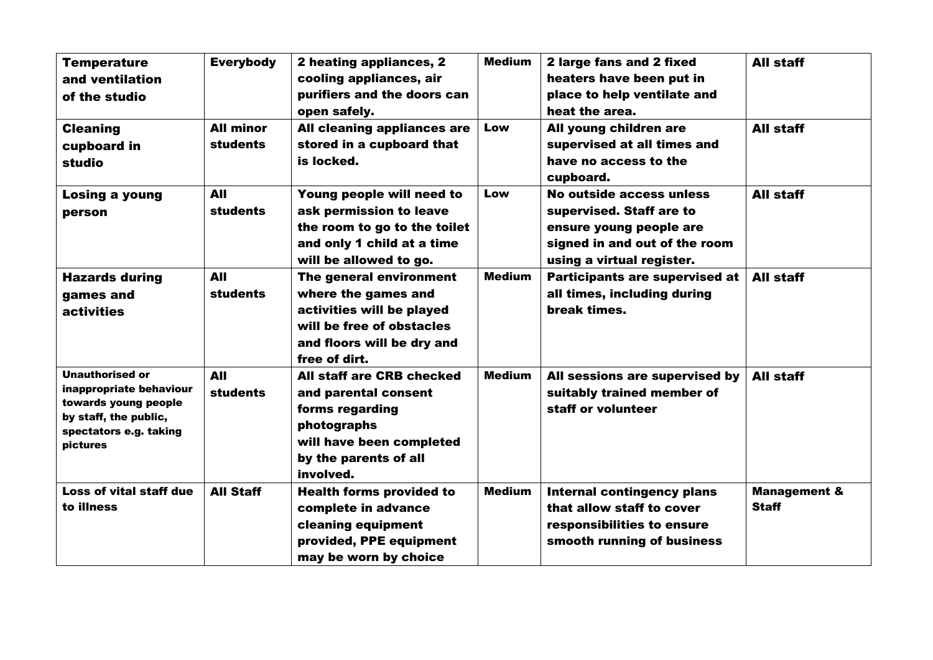| <b>Temperature</b><br>and ventilation<br>of the studio<br><b>Cleaning</b>                                                                       | <b>Everybody</b><br><b>All minor</b> | 2 heating appliances, 2<br>cooling appliances, air<br>purifiers and the doors can<br>open safely.<br>All cleaning appliances are                        | <b>Medium</b><br>Low | 2 large fans and 2 fixed<br>heaters have been put in<br>place to help ventilate and<br>heat the area.<br>All young children are               | <b>All staff</b><br>All staff           |
|-------------------------------------------------------------------------------------------------------------------------------------------------|--------------------------------------|---------------------------------------------------------------------------------------------------------------------------------------------------------|----------------------|-----------------------------------------------------------------------------------------------------------------------------------------------|-----------------------------------------|
| cupboard in<br>studio                                                                                                                           | <b>students</b>                      | stored in a cupboard that<br>is locked.                                                                                                                 |                      | supervised at all times and<br>have no access to the<br>cupboard.                                                                             |                                         |
| <b>Losing a young</b><br>person                                                                                                                 | <b>AII</b><br><b>students</b>        | Young people will need to<br>ask permission to leave<br>the room to go to the toilet<br>and only 1 child at a time<br>will be allowed to go.            | Low                  | No outside access unless<br>supervised. Staff are to<br>ensure young people are<br>signed in and out of the room<br>using a virtual register. | All staff                               |
| <b>Hazards during</b><br>games and<br><b>activities</b>                                                                                         | <b>AII</b><br><b>students</b>        | The general environment<br>where the games and<br>activities will be played<br>will be free of obstacles<br>and floors will be dry and<br>free of dirt. | <b>Medium</b>        | Participants are supervised at<br>all times, including during<br>break times.                                                                 | All staff                               |
| <b>Unauthorised or</b><br>inappropriate behaviour<br>towards young people<br>by staff, the public,<br>spectators e.g. taking<br><b>pictures</b> | <b>AII</b><br><b>students</b>        | All staff are CRB checked<br>and parental consent<br>forms regarding<br>photographs<br>will have been completed<br>by the parents of all<br>involved.   | <b>Medium</b>        | All sessions are supervised by<br>suitably trained member of<br>staff or volunteer                                                            | All staff                               |
| <b>Loss of vital staff due</b><br>to illness                                                                                                    | <b>All Staff</b>                     | <b>Health forms provided to</b><br>complete in advance<br>cleaning equipment<br>provided, PPE equipment<br>may be worn by choice                        | <b>Medium</b>        | <b>Internal contingency plans</b><br>that allow staff to cover<br>responsibilities to ensure<br>smooth running of business                    | <b>Management &amp;</b><br><b>Staff</b> |